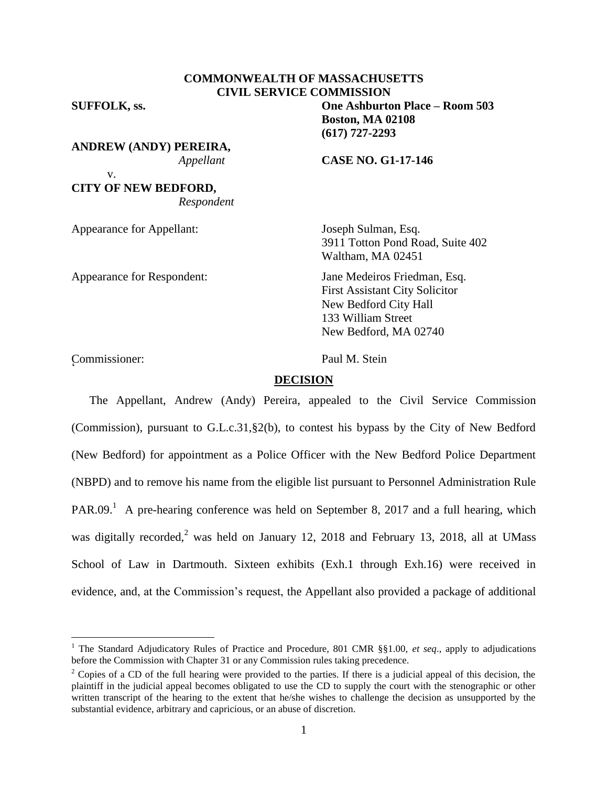# **COMMONWEALTH OF MASSACHUSETTS CIVIL SERVICE COMMISSION**

v.

**ANDREW (ANDY) PEREIRA,**

# **CITY OF NEW BEDFORD,** *Respondent*

Appearance for Appellant: Joseph Sulman, Esq.

Appearance for Respondent: Jane Medeiros Friedman, Esq.

**SUFFOLK, ss. One Ashburton Place – Room 503 Boston, MA 02108 (617) 727-2293**

*Appellant* **CASE NO. G1-17-146**

3911 Totton Pond Road, Suite 402 Waltham, MA 02451

First Assistant City Solicitor New Bedford City Hall 133 William Street New Bedford, MA 02740

Commissioner: Paul M. Stein <sup>2</sup>

 $\overline{a}$ 

# **DECISION**

The Appellant, Andrew (Andy) Pereira, appealed to the Civil Service Commission (Commission), pursuant to G.L.c.31,§2(b), to contest his bypass by the City of New Bedford (New Bedford) for appointment as a Police Officer with the New Bedford Police Department (NBPD) and to remove his name from the eligible list pursuant to Personnel Administration Rule PAR.09.<sup>1</sup> A pre-hearing conference was held on September 8, 2017 and a full hearing, which was digitally recorded,<sup>2</sup> was held on January 12, 2018 and February 13, 2018, all at UMass School of Law in Dartmouth. Sixteen exhibits (Exh.1 through Exh.16) were received in evidence, and, at the Commission's request, the Appellant also provided a package of additional

<sup>&</sup>lt;sup>1</sup> The Standard Adjudicatory Rules of Practice and Procedure, 801 CMR §§1.00, *et seq.*, apply to adjudications before the Commission with Chapter 31 or any Commission rules taking precedence.

<sup>&</sup>lt;sup>2</sup> Copies of a CD of the full hearing were provided to the parties. If there is a judicial appeal of this decision, the plaintiff in the judicial appeal becomes obligated to use the CD to supply the court with the stenographic or other written transcript of the hearing to the extent that he/she wishes to challenge the decision as unsupported by the substantial evidence, arbitrary and capricious, or an abuse of discretion.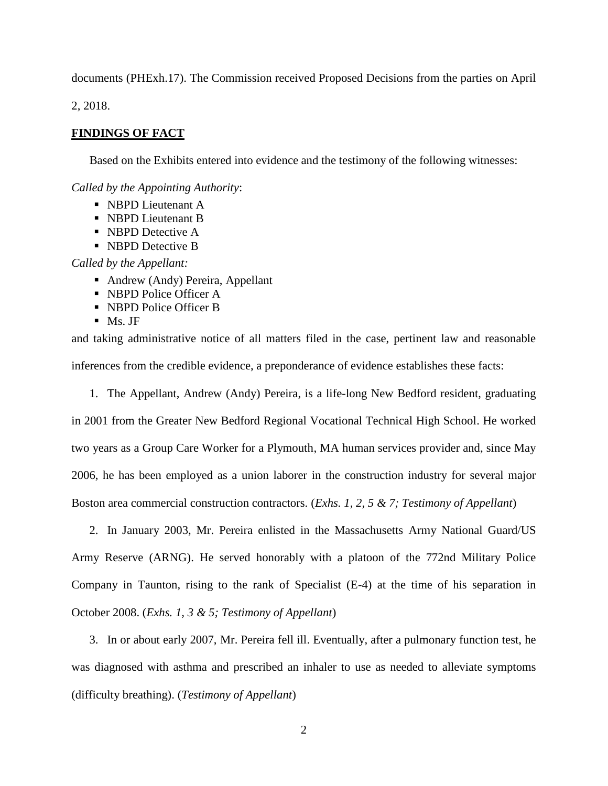documents (PHExh.17). The Commission received Proposed Decisions from the parties on April

2, 2018.

# **FINDINGS OF FACT**

Based on the Exhibits entered into evidence and the testimony of the following witnesses:

*Called by the Appointing Authority*:

- NBPD Lieutenant A
- NBPD Lieutenant B
- NBPD Detective A
- NBPD Detective B

*Called by the Appellant:*

- Andrew (Andy) Pereira, Appellant
- NBPD Police Officer A
- NBPD Police Officer B
- $\blacksquare$  Ms. JF

and taking administrative notice of all matters filed in the case, pertinent law and reasonable inferences from the credible evidence, a preponderance of evidence establishes these facts:

1. The Appellant, Andrew (Andy) Pereira, is a life-long New Bedford resident, graduating in 2001 from the Greater New Bedford Regional Vocational Technical High School. He worked two years as a Group Care Worker for a Plymouth, MA human services provider and, since May 2006, he has been employed as a union laborer in the construction industry for several major Boston area commercial construction contractors. (*Exhs. 1, 2, 5 & 7; Testimony of Appellant*)

2. In January 2003, Mr. Pereira enlisted in the Massachusetts Army National Guard/US Army Reserve (ARNG). He served honorably with a platoon of the 772nd Military Police Company in Taunton, rising to the rank of Specialist (E-4) at the time of his separation in October 2008. (*Exhs. 1, 3 & 5; Testimony of Appellant*)

3. In or about early 2007, Mr. Pereira fell ill. Eventually, after a pulmonary function test, he was diagnosed with asthma and prescribed an inhaler to use as needed to alleviate symptoms (difficulty breathing). (*Testimony of Appellant*)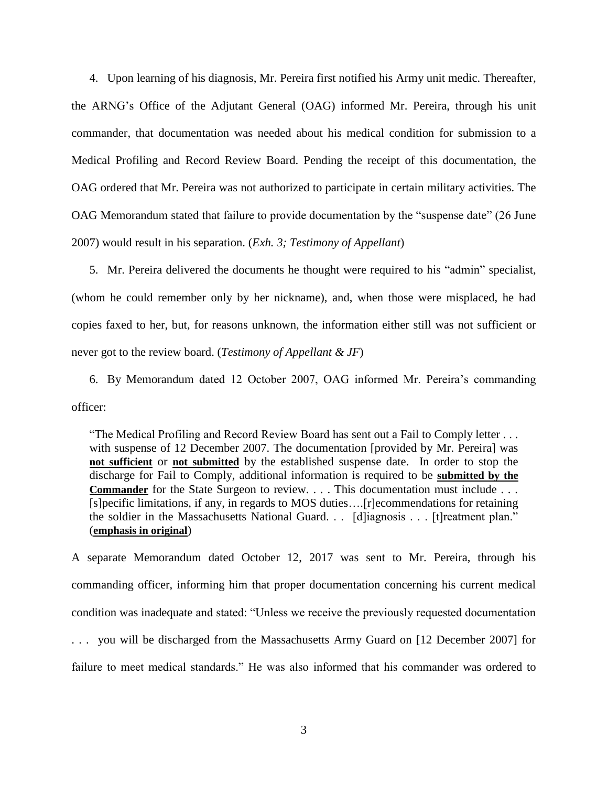4. Upon learning of his diagnosis, Mr. Pereira first notified his Army unit medic. Thereafter, the ARNG's Office of the Adjutant General (OAG) informed Mr. Pereira, through his unit commander, that documentation was needed about his medical condition for submission to a Medical Profiling and Record Review Board. Pending the receipt of this documentation, the OAG ordered that Mr. Pereira was not authorized to participate in certain military activities. The OAG Memorandum stated that failure to provide documentation by the "suspense date" (26 June 2007) would result in his separation. (*Exh. 3; Testimony of Appellant*)

5. Mr. Pereira delivered the documents he thought were required to his "admin" specialist, (whom he could remember only by her nickname), and, when those were misplaced, he had copies faxed to her, but, for reasons unknown, the information either still was not sufficient or never got to the review board. (*Testimony of Appellant & JF*)

6. By Memorandum dated 12 October 2007, OAG informed Mr. Pereira's commanding officer:

"The Medical Profiling and Record Review Board has sent out a Fail to Comply letter . . . with suspense of 12 December 2007. The documentation [provided by Mr. Pereira] was **not sufficient** or **not submitted** by the established suspense date. In order to stop the discharge for Fail to Comply, additional information is required to be **submitted by the Commander** for the State Surgeon to review. . . . This documentation must include . . . [s]pecific limitations, if any, in regards to MOS duties….[r]ecommendations for retaining the soldier in the Massachusetts National Guard. . . [d]iagnosis . . . [t]reatment plan." (**emphasis in original**)

A separate Memorandum dated October 12, 2017 was sent to Mr. Pereira, through his commanding officer, informing him that proper documentation concerning his current medical condition was inadequate and stated: "Unless we receive the previously requested documentation . . . you will be discharged from the Massachusetts Army Guard on [12 December 2007] for failure to meet medical standards." He was also informed that his commander was ordered to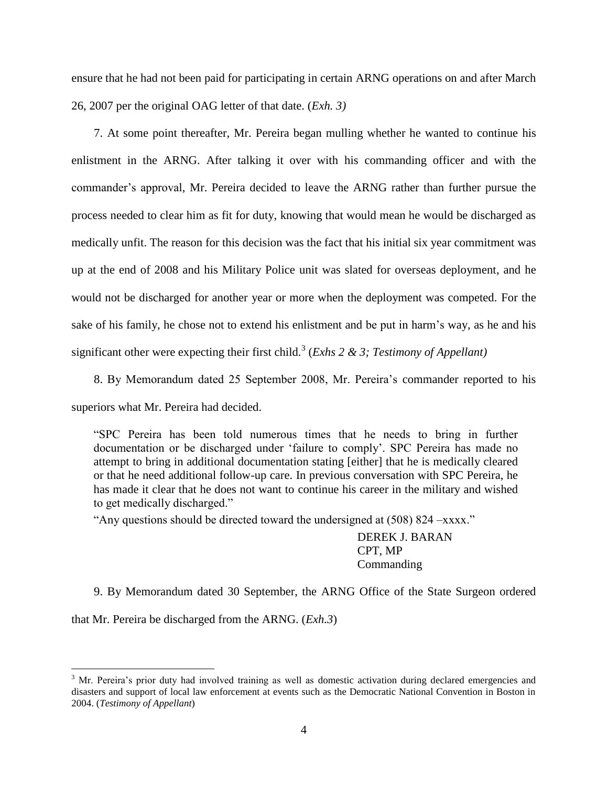ensure that he had not been paid for participating in certain ARNG operations on and after March 26, 2007 per the original OAG letter of that date. (*Exh. 3)*

7. At some point thereafter, Mr. Pereira began mulling whether he wanted to continue his enlistment in the ARNG. After talking it over with his commanding officer and with the commander's approval, Mr. Pereira decided to leave the ARNG rather than further pursue the process needed to clear him as fit for duty, knowing that would mean he would be discharged as medically unfit. The reason for this decision was the fact that his initial six year commitment was up at the end of 2008 and his Military Police unit was slated for overseas deployment, and he would not be discharged for another year or more when the deployment was competed. For the sake of his family, he chose not to extend his enlistment and be put in harm's way, as he and his significant other were expecting their first child.<sup>3</sup> (*Exhs 2 & 3; Testimony of Appellant*)

8. By Memorandum dated 25 September 2008, Mr. Pereira's commander reported to his superiors what Mr. Pereira had decided.

"SPC Pereira has been told numerous times that he needs to bring in further documentation or be discharged under 'failure to comply'. SPC Pereira has made no attempt to bring in additional documentation stating [either] that he is medically cleared or that he need additional follow-up care. In previous conversation with SPC Pereira, he has made it clear that he does not want to continue his career in the military and wished to get medically discharged."

"Any questions should be directed toward the undersigned at (508) 824 –xxxx."

DEREK J. BARAN CPT, MP Commanding

9. By Memorandum dated 30 September, the ARNG Office of the State Surgeon ordered

that Mr. Pereira be discharged from the ARNG. (*Exh.3*)

 $3$  Mr. Pereira's prior duty had involved training as well as domestic activation during declared emergencies and disasters and support of local law enforcement at events such as the Democratic National Convention in Boston in 2004. (*Testimony of Appellant*)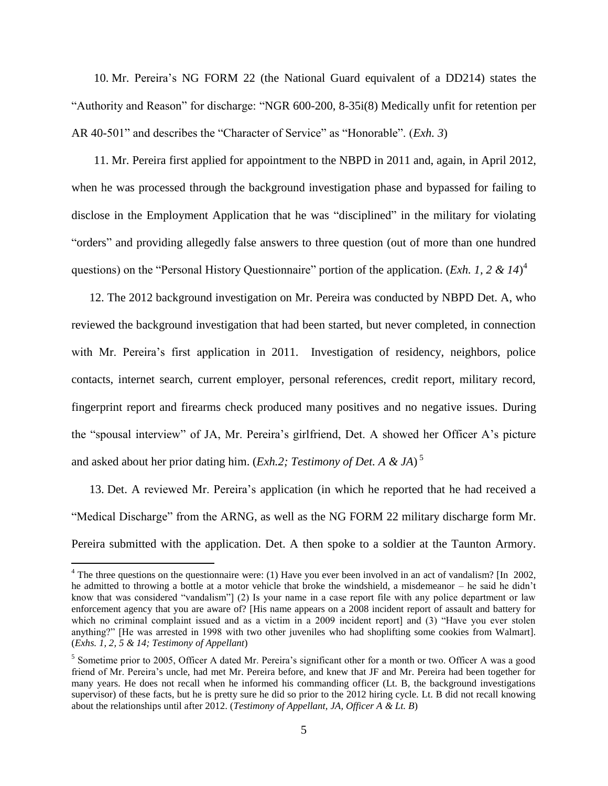10. Mr. Pereira's NG FORM 22 (the National Guard equivalent of a DD214) states the "Authority and Reason" for discharge: "NGR 600-200, 8-35i(8) Medically unfit for retention per AR 40-501" and describes the "Character of Service" as "Honorable". (*Exh. 3*)

11. Mr. Pereira first applied for appointment to the NBPD in 2011 and, again, in April 2012, when he was processed through the background investigation phase and bypassed for failing to disclose in the Employment Application that he was "disciplined" in the military for violating "orders" and providing allegedly false answers to three question (out of more than one hundred questions) on the "Personal History Questionnaire" portion of the application. (*Exh. 1, 2 & 14*)<sup>4</sup>

12. The 2012 background investigation on Mr. Pereira was conducted by NBPD Det. A, who reviewed the background investigation that had been started, but never completed, in connection with Mr. Pereira's first application in 2011. Investigation of residency, neighbors, police contacts, internet search, current employer, personal references, credit report, military record, fingerprint report and firearms check produced many positives and no negative issues. During the "spousal interview" of JA, Mr. Pereira's girlfriend, Det. A showed her Officer A's picture and asked about her prior dating him. (*Exh.2; Testimony of Det. A & JA*) 5

13. Det. A reviewed Mr. Pereira's application (in which he reported that he had received a "Medical Discharge" from the ARNG, as well as the NG FORM 22 military discharge form Mr. Pereira submitted with the application. Det. A then spoke to a soldier at the Taunton Armory.

 $4$  The three questions on the questionnaire were: (1) Have you ever been involved in an act of vandalism? [In 2002, he admitted to throwing a bottle at a motor vehicle that broke the windshield, a misdemeanor – he said he didn't know that was considered "vandalism"] (2) Is your name in a case report file with any police department or law enforcement agency that you are aware of? [His name appears on a 2008 incident report of assault and battery for which no criminal complaint issued and as a victim in a 2009 incident report) and (3) "Have you ever stolen anything?" [He was arrested in 1998 with two other juveniles who had shoplifting some cookies from Walmart]. (*Exhs. 1, 2, 5 & 14; Testimony of Appellant*)

<sup>&</sup>lt;sup>5</sup> Sometime prior to 2005, Officer A dated Mr. Pereira's significant other for a month or two. Officer A was a good friend of Mr. Pereira's uncle, had met Mr. Pereira before, and knew that JF and Mr. Pereira had been together for many years. He does not recall when he informed his commanding officer (Lt. B, the background investigations supervisor) of these facts, but he is pretty sure he did so prior to the 2012 hiring cycle. Lt. B did not recall knowing about the relationships until after 2012. (*Testimony of Appellant, JA, Officer A & Lt. B*)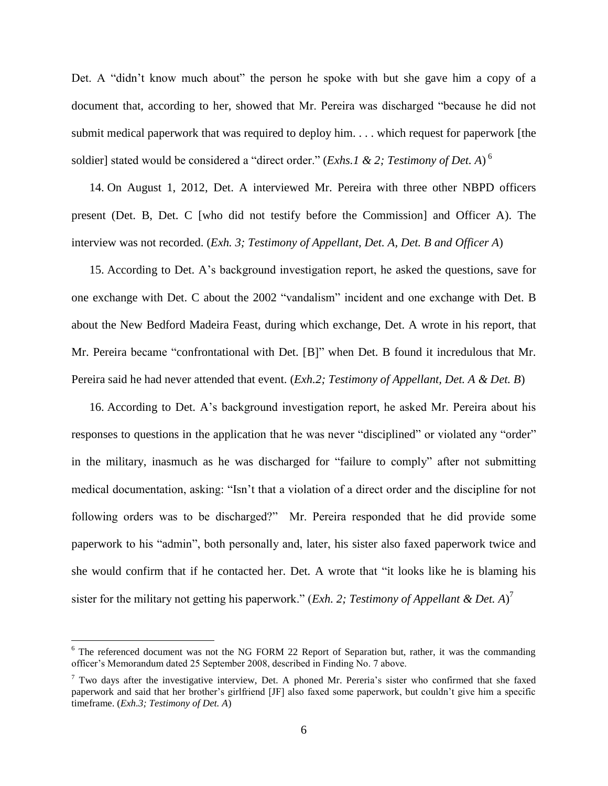Det. A "didn't know much about" the person he spoke with but she gave him a copy of a document that, according to her, showed that Mr. Pereira was discharged "because he did not submit medical paperwork that was required to deploy him. . . . which request for paperwork [the soldier] stated would be considered a "direct order." (*Exhs.1 & 2; Testimony of Det. A*) 6

14. On August 1, 2012, Det. A interviewed Mr. Pereira with three other NBPD officers present (Det. B, Det. C [who did not testify before the Commission] and Officer A). The interview was not recorded. (*Exh. 3; Testimony of Appellant, Det. A, Det. B and Officer A*)

15. According to Det. A's background investigation report, he asked the questions, save for one exchange with Det. C about the 2002 "vandalism" incident and one exchange with Det. B about the New Bedford Madeira Feast, during which exchange, Det. A wrote in his report, that Mr. Pereira became "confrontational with Det. [B]" when Det. B found it incredulous that Mr. Pereira said he had never attended that event. (*Exh.2; Testimony of Appellant, Det. A & Det. B*)

16. According to Det. A's background investigation report, he asked Mr. Pereira about his responses to questions in the application that he was never "disciplined" or violated any "order" in the military, inasmuch as he was discharged for "failure to comply" after not submitting medical documentation, asking: "Isn't that a violation of a direct order and the discipline for not following orders was to be discharged?" Mr. Pereira responded that he did provide some paperwork to his "admin", both personally and, later, his sister also faxed paperwork twice and she would confirm that if he contacted her. Det. A wrote that "it looks like he is blaming his sister for the military not getting his paperwork." (*Exh. 2; Testimony of Appellant & Det. A*) 7

<sup>&</sup>lt;sup>6</sup> The referenced document was not the NG FORM 22 Report of Separation but, rather, it was the commanding officer's Memorandum dated 25 September 2008, described in Finding No. 7 above.

 $7$  Two days after the investigative interview, Det. A phoned Mr. Pereria's sister who confirmed that she faxed paperwork and said that her brother's girlfriend [JF] also faxed some paperwork, but couldn't give him a specific timeframe. (*Exh.3; Testimony of Det. A*)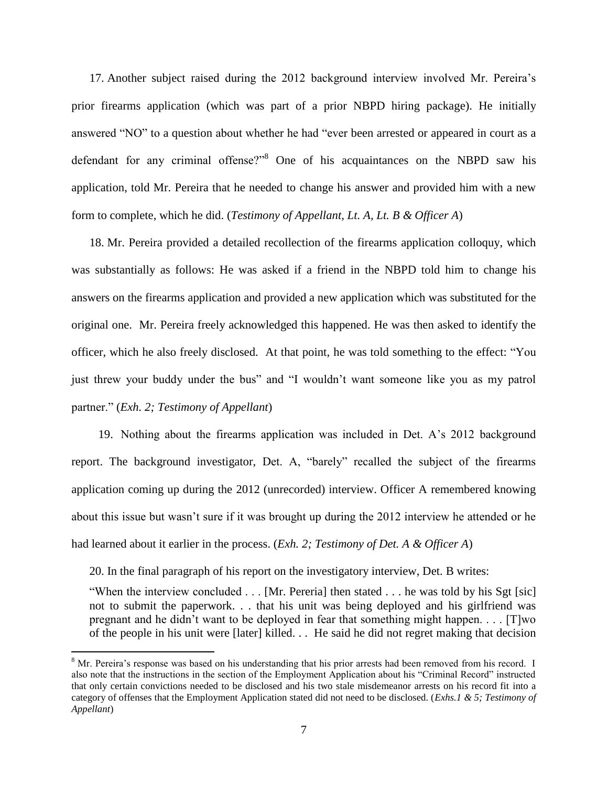17. Another subject raised during the 2012 background interview involved Mr. Pereira's prior firearms application (which was part of a prior NBPD hiring package). He initially answered "NO" to a question about whether he had "ever been arrested or appeared in court as a defendant for any criminal offense?"<sup>8</sup> One of his acquaintances on the NBPD saw his application, told Mr. Pereira that he needed to change his answer and provided him with a new form to complete, which he did. (*Testimony of Appellant, Lt. A, Lt. B & Officer A*)

18. Mr. Pereira provided a detailed recollection of the firearms application colloquy, which was substantially as follows: He was asked if a friend in the NBPD told him to change his answers on the firearms application and provided a new application which was substituted for the original one. Mr. Pereira freely acknowledged this happened. He was then asked to identify the officer, which he also freely disclosed. At that point, he was told something to the effect: "You just threw your buddy under the bus" and "I wouldn't want someone like you as my patrol partner." (*Exh. 2; Testimony of Appellant*)

19. Nothing about the firearms application was included in Det. A's 2012 background report. The background investigator, Det. A, "barely" recalled the subject of the firearms application coming up during the 2012 (unrecorded) interview. Officer A remembered knowing about this issue but wasn't sure if it was brought up during the 2012 interview he attended or he had learned about it earlier in the process. (*Exh. 2; Testimony of Det. A & Officer A*)

20. In the final paragraph of his report on the investigatory interview, Det. B writes:

 $\overline{a}$ 

"When the interview concluded . . . [Mr. Pereria] then stated . . . he was told by his Sgt [sic] not to submit the paperwork. . . that his unit was being deployed and his girlfriend was pregnant and he didn't want to be deployed in fear that something might happen. . . . [T]wo of the people in his unit were [later] killed. . . He said he did not regret making that decision

 $8$  Mr. Pereira's response was based on his understanding that his prior arrests had been removed from his record. I also note that the instructions in the section of the Employment Application about his "Criminal Record" instructed that only certain convictions needed to be disclosed and his two stale misdemeanor arrests on his record fit into a category of offenses that the Employment Application stated did not need to be disclosed. (*Exhs.1 & 5; Testimony of Appellant*)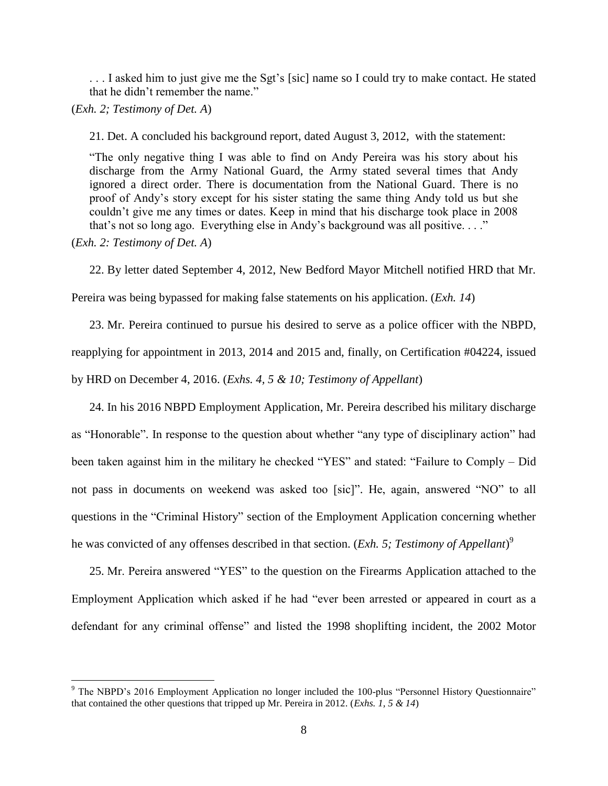. . . I asked him to just give me the Sgt's [sic] name so I could try to make contact. He stated that he didn't remember the name."

(*Exh. 2; Testimony of Det. A*)

21. Det. A concluded his background report, dated August 3, 2012, with the statement:

"The only negative thing I was able to find on Andy Pereira was his story about his discharge from the Army National Guard, the Army stated several times that Andy ignored a direct order. There is documentation from the National Guard. There is no proof of Andy's story except for his sister stating the same thing Andy told us but she couldn't give me any times or dates. Keep in mind that his discharge took place in 2008 that's not so long ago. Everything else in Andy's background was all positive. . . ."

(*Exh. 2: Testimony of Det. A*)

 $\overline{a}$ 

22. By letter dated September 4, 2012, New Bedford Mayor Mitchell notified HRD that Mr.

Pereira was being bypassed for making false statements on his application. (*Exh. 14*)

23. Mr. Pereira continued to pursue his desired to serve as a police officer with the NBPD, reapplying for appointment in 2013, 2014 and 2015 and, finally, on Certification #04224, issued by HRD on December 4, 2016. (*Exhs. 4, 5 & 10; Testimony of Appellant*)

24. In his 2016 NBPD Employment Application, Mr. Pereira described his military discharge as "Honorable". In response to the question about whether "any type of disciplinary action" had been taken against him in the military he checked "YES" and stated: "Failure to Comply – Did not pass in documents on weekend was asked too [sic]". He, again, answered "NO" to all questions in the "Criminal History" section of the Employment Application concerning whether he was convicted of any offenses described in that section. (*Exh. 5; Testimony of Appellant*) 9

25. Mr. Pereira answered "YES" to the question on the Firearms Application attached to the Employment Application which asked if he had "ever been arrested or appeared in court as a defendant for any criminal offense" and listed the 1998 shoplifting incident, the 2002 Motor

<sup>9</sup> The NBPD's 2016 Employment Application no longer included the 100-plus "Personnel History Questionnaire" that contained the other questions that tripped up Mr. Pereira in 2012. (*Exhs. 1, 5 & 14*)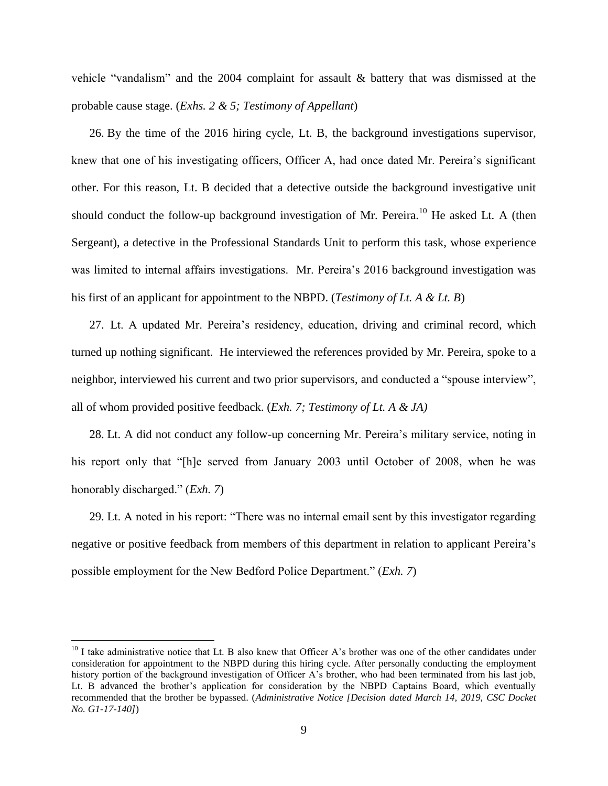vehicle "vandalism" and the 2004 complaint for assault & battery that was dismissed at the probable cause stage. (*Exhs. 2 & 5; Testimony of Appellant*)

26. By the time of the 2016 hiring cycle, Lt. B, the background investigations supervisor, knew that one of his investigating officers, Officer A, had once dated Mr. Pereira's significant other. For this reason, Lt. B decided that a detective outside the background investigative unit should conduct the follow-up background investigation of Mr. Pereira.<sup>10</sup> He asked Lt. A (then Sergeant), a detective in the Professional Standards Unit to perform this task, whose experience was limited to internal affairs investigations. Mr. Pereira's 2016 background investigation was his first of an applicant for appointment to the NBPD. (*Testimony of Lt. A & Lt. B*)

27. Lt. A updated Mr. Pereira's residency, education, driving and criminal record, which turned up nothing significant. He interviewed the references provided by Mr. Pereira, spoke to a neighbor, interviewed his current and two prior supervisors, and conducted a "spouse interview", all of whom provided positive feedback. (*Exh. 7; Testimony of Lt. A & JA)*

28. Lt. A did not conduct any follow-up concerning Mr. Pereira's military service, noting in his report only that "[h]e served from January 2003 until October of 2008, when he was honorably discharged." (*Exh. 7*)

29. Lt. A noted in his report: "There was no internal email sent by this investigator regarding negative or positive feedback from members of this department in relation to applicant Pereira's possible employment for the New Bedford Police Department." (*Exh. 7*)

 $10$  I take administrative notice that Lt. B also knew that Officer A's brother was one of the other candidates under consideration for appointment to the NBPD during this hiring cycle. After personally conducting the employment history portion of the background investigation of Officer A's brother, who had been terminated from his last job, Lt. B advanced the brother's application for consideration by the NBPD Captains Board, which eventually recommended that the brother be bypassed. (*Administrative Notice [Decision dated March 14, 2019, CSC Docket No. G1-17-140]*)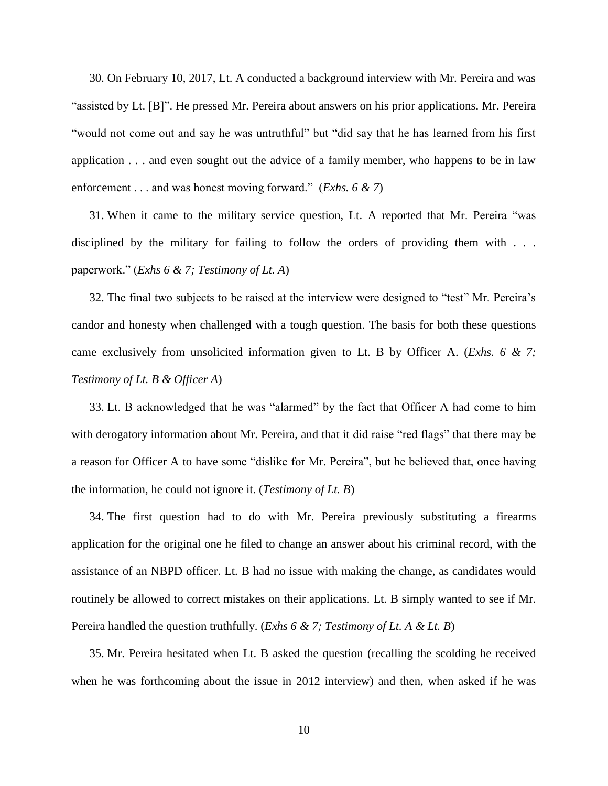30. On February 10, 2017, Lt. A conducted a background interview with Mr. Pereira and was "assisted by Lt. [B]". He pressed Mr. Pereira about answers on his prior applications. Mr. Pereira "would not come out and say he was untruthful" but "did say that he has learned from his first application . . . and even sought out the advice of a family member, who happens to be in law enforcement . . . and was honest moving forward." (*Exhs. 6 & 7*)

31. When it came to the military service question, Lt. A reported that Mr. Pereira "was disciplined by the military for failing to follow the orders of providing them with . . . paperwork." (*Exhs 6 & 7; Testimony of Lt. A*)

32. The final two subjects to be raised at the interview were designed to "test" Mr. Pereira's candor and honesty when challenged with a tough question. The basis for both these questions came exclusively from unsolicited information given to Lt. B by Officer A. (*Exhs. 6 & 7; Testimony of Lt. B & Officer A*)

33. Lt. B acknowledged that he was "alarmed" by the fact that Officer A had come to him with derogatory information about Mr. Pereira, and that it did raise "red flags" that there may be a reason for Officer A to have some "dislike for Mr. Pereira", but he believed that, once having the information, he could not ignore it. (*Testimony of Lt. B*)

34. The first question had to do with Mr. Pereira previously substituting a firearms application for the original one he filed to change an answer about his criminal record, with the assistance of an NBPD officer. Lt. B had no issue with making the change, as candidates would routinely be allowed to correct mistakes on their applications. Lt. B simply wanted to see if Mr. Pereira handled the question truthfully. (*Exhs 6 & 7; Testimony of Lt. A & Lt. B*)

35. Mr. Pereira hesitated when Lt. B asked the question (recalling the scolding he received when he was forthcoming about the issue in 2012 interview) and then, when asked if he was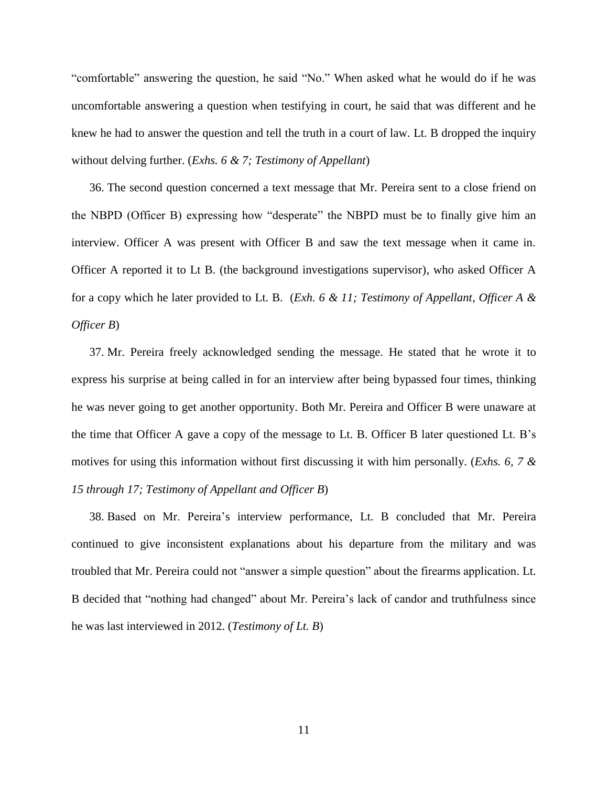"comfortable" answering the question, he said "No." When asked what he would do if he was uncomfortable answering a question when testifying in court, he said that was different and he knew he had to answer the question and tell the truth in a court of law. Lt. B dropped the inquiry without delving further. (*Exhs. 6 & 7; Testimony of Appellant*)

36. The second question concerned a text message that Mr. Pereira sent to a close friend on the NBPD (Officer B) expressing how "desperate" the NBPD must be to finally give him an interview. Officer A was present with Officer B and saw the text message when it came in. Officer A reported it to Lt B. (the background investigations supervisor), who asked Officer A for a copy which he later provided to Lt. B. (*Exh. 6 & 11; Testimony of Appellant, Officer A & Officer B*)

37. Mr. Pereira freely acknowledged sending the message. He stated that he wrote it to express his surprise at being called in for an interview after being bypassed four times, thinking he was never going to get another opportunity. Both Mr. Pereira and Officer B were unaware at the time that Officer A gave a copy of the message to Lt. B. Officer B later questioned Lt. B's motives for using this information without first discussing it with him personally. (*Exhs. 6, 7 & 15 through 17; Testimony of Appellant and Officer B*)

38. Based on Mr. Pereira's interview performance, Lt. B concluded that Mr. Pereira continued to give inconsistent explanations about his departure from the military and was troubled that Mr. Pereira could not "answer a simple question" about the firearms application. Lt. B decided that "nothing had changed" about Mr. Pereira's lack of candor and truthfulness since he was last interviewed in 2012. (*Testimony of Lt. B*)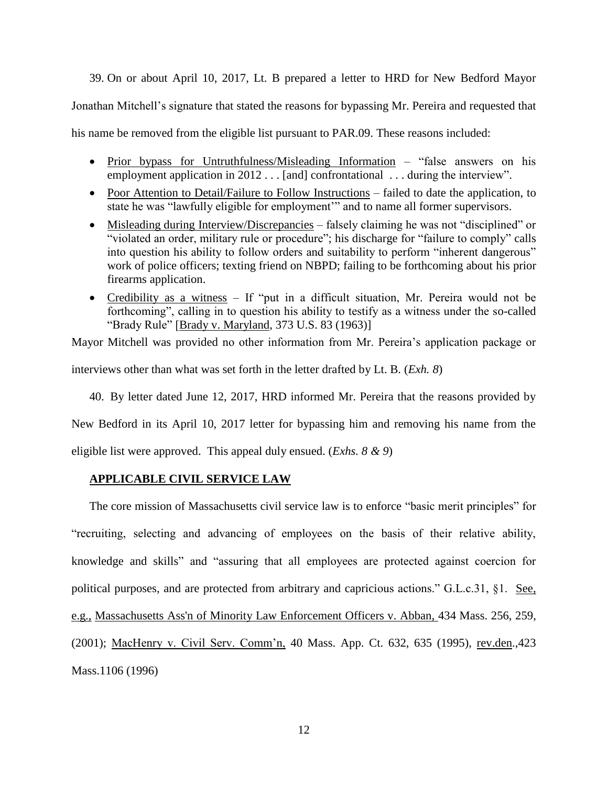39. On or about April 10, 2017, Lt. B prepared a letter to HRD for New Bedford Mayor

Jonathan Mitchell's signature that stated the reasons for bypassing Mr. Pereira and requested that

his name be removed from the eligible list pursuant to PAR.09. These reasons included:

- Prior bypass for Untruthfulness/Misleading Information "false answers on his employment application in 2012 . . . [and] confrontational . . . during the interview".
- Poor Attention to Detail/Failure to Follow Instructions failed to date the application, to state he was "lawfully eligible for employment'" and to name all former supervisors.
- Misleading during Interview/Discrepancies falsely claiming he was not "disciplined" or "violated an order, military rule or procedure"; his discharge for "failure to comply" calls into question his ability to follow orders and suitability to perform "inherent dangerous" work of police officers; texting friend on NBPD; failing to be forthcoming about his prior firearms application.
- Credibility as a witness If "put in a difficult situation, Mr. Pereira would not be forthcoming", calling in to question his ability to testify as a witness under the so-called "Brady Rule" [Brady v. Maryland, 373 U.S. 83 (1963)]

Mayor Mitchell was provided no other information from Mr. Pereira's application package or

interviews other than what was set forth in the letter drafted by Lt. B. (*Exh. 8*)

40. By letter dated June 12, 2017, HRD informed Mr. Pereira that the reasons provided by

New Bedford in its April 10, 2017 letter for bypassing him and removing his name from the

eligible list were approved. This appeal duly ensued. (*Exhs. 8 & 9*)

# **APPLICABLE CIVIL SERVICE LAW**

The core mission of Massachusetts civil service law is to enforce "basic merit principles" for "recruiting, selecting and advancing of employees on the basis of their relative ability, knowledge and skills" and "assuring that all employees are protected against coercion for political purposes, and are protected from arbitrary and capricious actions." G.L.c.31, §1. See, e.g., [Massachusetts Ass'n of Minority Law Enforcement Officers v. Abban,](http://web2.westlaw.com/find/default.wl?mt=Massachusetts&db=578&rs=WLW15.04&tc=-1&rp=%2ffind%2fdefault.wl&findtype=Y&ordoc=2029136022&serialnum=2001441097&vr=2.0&fn=_top&sv=Split&tf=-1&pbc=70F732C1&utid=1) 434 Mass. 256, 259, [\(2001\);](http://web2.westlaw.com/find/default.wl?mt=Massachusetts&db=578&rs=WLW15.04&tc=-1&rp=%2ffind%2fdefault.wl&findtype=Y&ordoc=2029136022&serialnum=2001441097&vr=2.0&fn=_top&sv=Split&tf=-1&pbc=70F732C1&utid=1) MacHenry v. Civil Serv. Comm'n, 40 Mass. App. Ct. 632, 635 (1995), rev.den.,423 Mass.1106 (1996)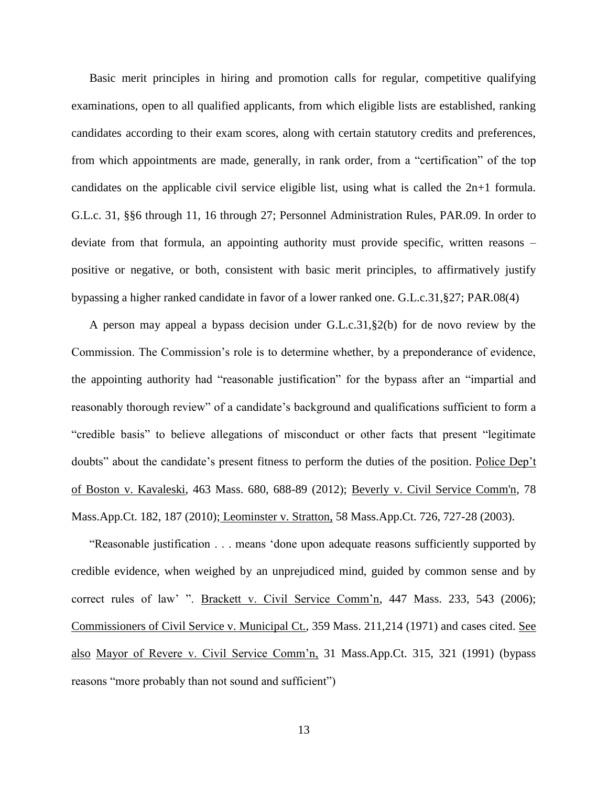Basic merit principles in hiring and promotion calls for regular, competitive qualifying examinations, open to all qualified applicants, from which eligible lists are established, ranking candidates according to their exam scores, along with certain statutory credits and preferences, from which appointments are made, generally, in rank order, from a "certification" of the top candidates on the applicable civil service eligible list, using what is called the 2n+1 formula. G.L.c. 31, §§6 through 11, 16 through 27; Personnel Administration Rules, PAR.09. In order to deviate from that formula, an appointing authority must provide specific, written reasons – positive or negative, or both, consistent with basic merit principles, to affirmatively justify bypassing a higher ranked candidate in favor of a lower ranked one. G.L.c.31,§27; PAR.08(4)

A person may appeal a bypass decision under G.L.c.31,§2(b) for de novo review by the Commission. The Commission's role is to determine whether, by a preponderance of evidence, the appointing authority had "reasonable justification" for the bypass after an "impartial and reasonably thorough review" of a candidate's background and qualifications sufficient to form a "credible basis" to believe allegations of misconduct or other facts that present "legitimate doubts" about the candidate's present fitness to perform the duties of the position. Police Dep't of Boston v. Kavaleski, 463 Mass. 680, 688-89 (2012); [Beverly v. Civil Service Comm'n, 78](http://web2.westlaw.com/find/default.wl?mt=Massachusetts&db=578&rs=WLW15.04&tc=-1&rp=%2ffind%2fdefault.wl&findtype=Y&ordoc=2029136022&serialnum=2023501172&vr=2.0&fn=_top&sv=Split&tf=-1&pbc=70F732C1&utid=1)  [Mass.App.Ct. 182, 187 \(2010\);](http://web2.westlaw.com/find/default.wl?mt=Massachusetts&db=578&rs=WLW15.04&tc=-1&rp=%2ffind%2fdefault.wl&findtype=Y&ordoc=2029136022&serialnum=2023501172&vr=2.0&fn=_top&sv=Split&tf=-1&pbc=70F732C1&utid=1) Leominster v. Stratton, 58 Mass.App.Ct. 726, 727-28 (2003).

"Reasonable justification . . . means 'done upon adequate reasons sufficiently supported by credible evidence, when weighed by an unprejudiced mind, guided by common sense and by correct rules of law' ". Brackett v. Civil Service Comm'n, 447 Mass. 233, 543 (2006); Commissioners of Civil Service v. Municipal Ct., 359 Mass. 211,214 (1971) and cases cited. See also Mayor of Revere v. Civil Service Comm'n, 31 Mass.App.Ct. 315, 321 (1991) (bypass reasons "more probably than not sound and sufficient")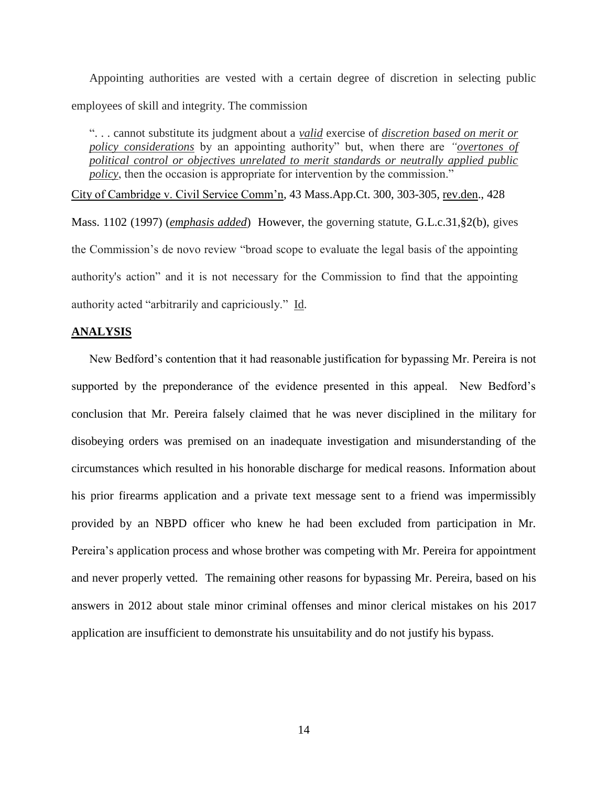Appointing authorities are vested with a certain degree of discretion in selecting public employees of skill and integrity. The commission

". . . cannot substitute its judgment about a *valid* exercise of *discretion based on merit or policy considerations* by an appointing authority" but, when there are *"overtones of political control or objectives unrelated to merit standards or neutrally applied public policy*, then the occasion is appropriate for intervention by the commission."

City of Cambridge v. Civil Service Comm'n, 43 Mass.App.Ct. 300, 303-305, rev.den., 428 Mass. 1102 (1997) (*emphasis added*) However, the governing statute, [G.L.c.31,§2\(b\),](https://1.next.westlaw.com/Link/Document/FullText?findType=L&pubNum=1000042&cite=MAST31S2&originatingDoc=Ib21af0ded3bd11d99439b076ef9ec4de&refType=LQ&originationContext=document&transitionType=DocumentItem&contextData=(sc.History*oc.UserEnteredCitation)) gives the Commission's de novo review "broad scope to evaluate the legal basis of the appointing authority's action" and it is not necessary for the Commission to find that the appointing authority acted "arbitrarily and capriciously." Id.

#### **ANALYSIS**

New Bedford's contention that it had reasonable justification for bypassing Mr. Pereira is not supported by the preponderance of the evidence presented in this appeal. New Bedford's conclusion that Mr. Pereira falsely claimed that he was never disciplined in the military for disobeying orders was premised on an inadequate investigation and misunderstanding of the circumstances which resulted in his honorable discharge for medical reasons. Information about his prior firearms application and a private text message sent to a friend was impermissibly provided by an NBPD officer who knew he had been excluded from participation in Mr. Pereira's application process and whose brother was competing with Mr. Pereira for appointment and never properly vetted. The remaining other reasons for bypassing Mr. Pereira, based on his answers in 2012 about stale minor criminal offenses and minor clerical mistakes on his 2017 application are insufficient to demonstrate his unsuitability and do not justify his bypass.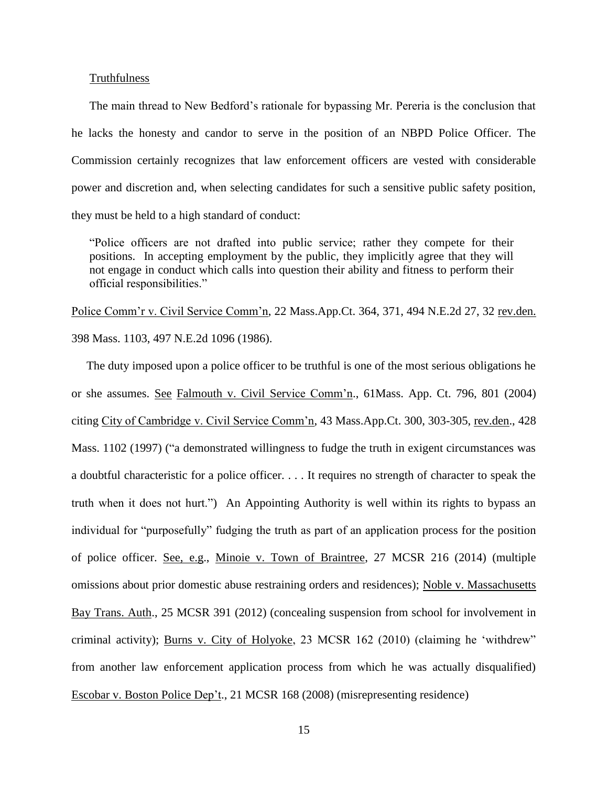#### **Truthfulness**

The main thread to New Bedford's rationale for bypassing Mr. Pereria is the conclusion that he lacks the honesty and candor to serve in the position of an NBPD Police Officer. The Commission certainly recognizes that law enforcement officers are vested with considerable power and discretion and, when selecting candidates for such a sensitive public safety position, they must be held to a high standard of conduct:

"Police officers are not drafted into public service; rather they compete for their positions. In accepting employment by the public, they implicitly agree that they will not engage in conduct which calls into question their ability and fitness to perform their official responsibilities."

Police Comm'r v. Civil Service Comm'n, 22 Mass.App.Ct. 364, 371, 494 N.E.2d 27, 32 rev.den. 398 Mass. 1103, 497 N.E.2d 1096 (1986).

The duty imposed upon a police officer to be truthful is one of the most serious obligations he or she assumes. See Falmouth v. Civil Service Comm'n., 61Mass. App. Ct. 796, 801 (2004) citing City of Cambridge v. Civil Service Comm'n, 43 Mass.App.Ct. 300, 303-305, rev.den., 428 Mass. 1102 (1997) ("a demonstrated willingness to fudge the truth in exigent circumstances was a doubtful characteristic for a police officer. . . . It requires no strength of character to speak the truth when it does not hurt.") An Appointing Authority is well within its rights to bypass an individual for "purposefully" fudging the truth as part of an application process for the position of police officer. See, e.g., Minoie v. Town of Braintree, 27 MCSR 216 (2014) (multiple omissions about prior domestic abuse restraining orders and residences); Noble v. Massachusetts Bay Trans. Auth., 25 MCSR 391 (2012) (concealing suspension from school for involvement in criminal activity); Burns v. City of Holyoke, 23 MCSR 162 (2010) (claiming he 'withdrew" from another law enforcement application process from which he was actually disqualified) Escobar v. Boston Police Dep't., 21 MCSR 168 (2008) (misrepresenting residence)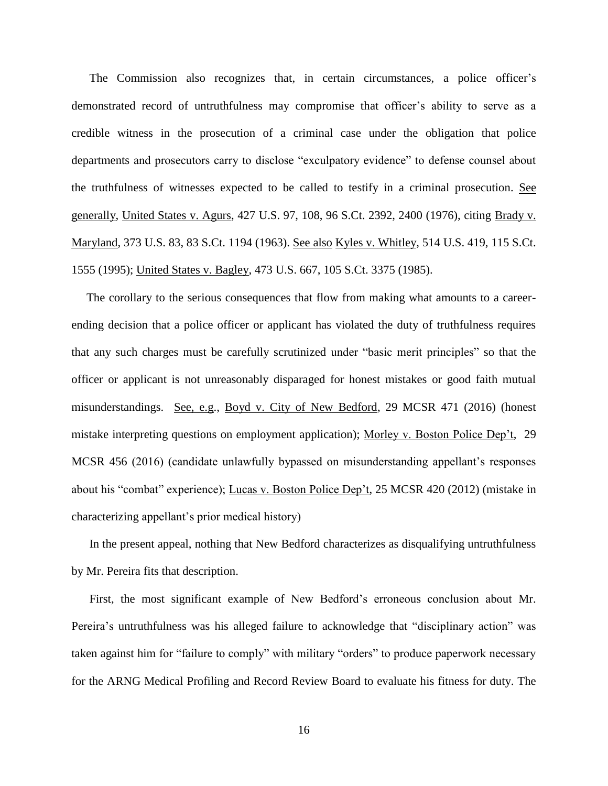The Commission also recognizes that, in certain circumstances, a police officer's demonstrated record of untruthfulness may compromise that officer's ability to serve as a credible witness in the prosecution of a criminal case under the obligation that police departments and prosecutors carry to disclose "exculpatory evidence" to defense counsel about the truthfulness of witnesses expected to be called to testify in a criminal prosecution. See generally, United States v. Agurs, 427 U.S. 97, 108, 96 S.Ct. 2392, 2400 (1976), citing Brady v. Maryland, 373 U.S. 83, 83 S.Ct. 1194 (1963). See also Kyles v. Whitley, 514 U.S. 419, 115 S.Ct. 1555 (1995); United States v. Bagley, 473 U.S. 667, 105 S.Ct. 3375 (1985).

The corollary to the serious consequences that flow from making what amounts to a careerending decision that a police officer or applicant has violated the duty of truthfulness requires that any such charges must be carefully scrutinized under "basic merit principles" so that the officer or applicant is not unreasonably disparaged for honest mistakes or good faith mutual misunderstandings. See, e.g., Boyd v. City of New Bedford, 29 MCSR 471 (2016) (honest mistake interpreting questions on employment application); Morley v. Boston Police Dep't, 29 MCSR 456 (2016) (candidate unlawfully bypassed on misunderstanding appellant's responses about his "combat" experience); Lucas v. Boston Police Dep't, 25 MCSR 420 (2012) (mistake in characterizing appellant's prior medical history)

In the present appeal, nothing that New Bedford characterizes as disqualifying untruthfulness by Mr. Pereira fits that description.

First, the most significant example of New Bedford's erroneous conclusion about Mr. Pereira's untruthfulness was his alleged failure to acknowledge that "disciplinary action" was taken against him for "failure to comply" with military "orders" to produce paperwork necessary for the ARNG Medical Profiling and Record Review Board to evaluate his fitness for duty. The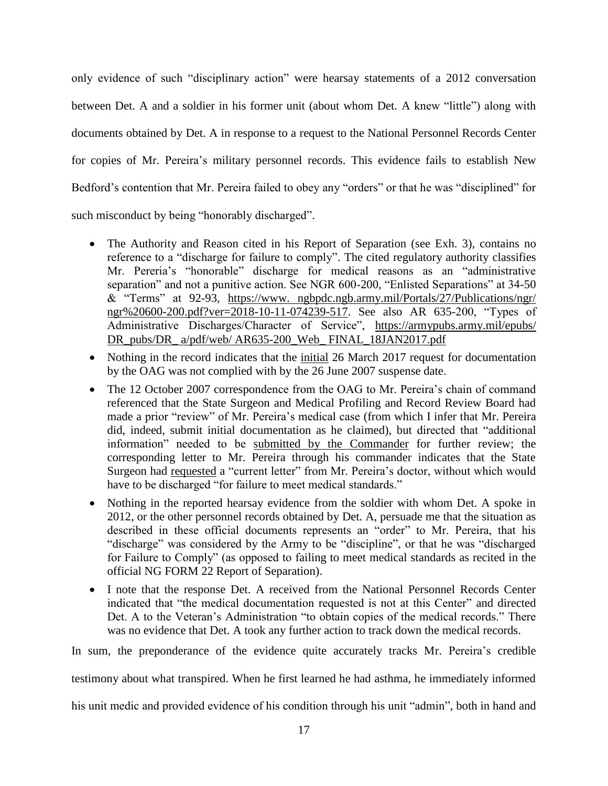only evidence of such "disciplinary action" were hearsay statements of a 2012 conversation between Det. A and a soldier in his former unit (about whom Det. A knew "little") along with documents obtained by Det. A in response to a request to the National Personnel Records Center for copies of Mr. Pereira's military personnel records. This evidence fails to establish New Bedford's contention that Mr. Pereira failed to obey any "orders" or that he was "disciplined" for such misconduct by being "honorably discharged".

- The Authority and Reason cited in his Report of Separation (see Exh. 3), contains no reference to a "discharge for failure to comply". The cited regulatory authority classifies Mr. Pereria's "honorable" discharge for medical reasons as an "administrative separation" and not a punitive action. See NGR 600-200, "Enlisted Separations" at 34-50 & "Terms" at 92-93, https://www. ngbpdc.ngb.army.mil/Portals/27/Publications/ngr/ ngr%20600-200.pdf?ver=2018-10-11-074239-517. See also AR 635-200, "Types of Administrative Discharges/Character of Service", [https://armypubs.army.mil/epubs/](https://armypubs.army.mil/epubs/%20DR_pubs/DR_%20a/pdf/web/%20AR635-200_Web_%20FINAL_18JAN2017.pdf)  DR\_pubs/DR\_a/pdf/web/ AR635-200\_Web\_ FINAL\_18JAN2017.pdf
- Nothing in the record indicates that the initial 26 March 2017 request for documentation by the OAG was not complied with by the 26 June 2007 suspense date.
- The 12 October 2007 correspondence from the OAG to Mr. Pereira's chain of command referenced that the State Surgeon and Medical Profiling and Record Review Board had made a prior "review" of Mr. Pereira's medical case (from which I infer that Mr. Pereira did, indeed, submit initial documentation as he claimed), but directed that "additional information" needed to be submitted by the Commander for further review; the corresponding letter to Mr. Pereira through his commander indicates that the State Surgeon had requested a "current letter" from Mr. Pereira's doctor, without which would have to be discharged "for failure to meet medical standards."
- Nothing in the reported hearsay evidence from the soldier with whom Det. A spoke in 2012, or the other personnel records obtained by Det. A, persuade me that the situation as described in these official documents represents an "order" to Mr. Pereira, that his "discharge" was considered by the Army to be "discipline", or that he was "discharged for Failure to Comply" (as opposed to failing to meet medical standards as recited in the official NG FORM 22 Report of Separation).
- I note that the response Det. A received from the National Personnel Records Center indicated that "the medical documentation requested is not at this Center" and directed Det. A to the Veteran's Administration "to obtain copies of the medical records." There was no evidence that Det. A took any further action to track down the medical records.

In sum, the preponderance of the evidence quite accurately tracks Mr. Pereira's credible

testimony about what transpired. When he first learned he had asthma, he immediately informed

his unit medic and provided evidence of his condition through his unit "admin", both in hand and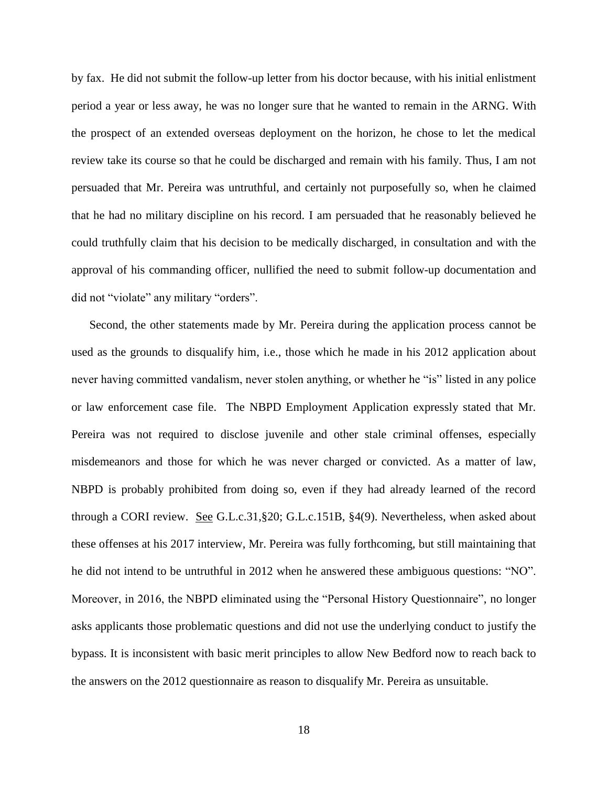by fax. He did not submit the follow-up letter from his doctor because, with his initial enlistment period a year or less away, he was no longer sure that he wanted to remain in the ARNG. With the prospect of an extended overseas deployment on the horizon, he chose to let the medical review take its course so that he could be discharged and remain with his family. Thus, I am not persuaded that Mr. Pereira was untruthful, and certainly not purposefully so, when he claimed that he had no military discipline on his record. I am persuaded that he reasonably believed he could truthfully claim that his decision to be medically discharged, in consultation and with the approval of his commanding officer, nullified the need to submit follow-up documentation and did not "violate" any military "orders".

Second, the other statements made by Mr. Pereira during the application process cannot be used as the grounds to disqualify him, i.e., those which he made in his 2012 application about never having committed vandalism, never stolen anything, or whether he "is" listed in any police or law enforcement case file. The NBPD Employment Application expressly stated that Mr. Pereira was not required to disclose juvenile and other stale criminal offenses, especially misdemeanors and those for which he was never charged or convicted. As a matter of law, NBPD is probably prohibited from doing so, even if they had already learned of the record through a CORI review. See G.L.c.31,§20; G.L.c.151B, §4(9). Nevertheless, when asked about these offenses at his 2017 interview, Mr. Pereira was fully forthcoming, but still maintaining that he did not intend to be untruthful in 2012 when he answered these ambiguous questions: "NO". Moreover, in 2016, the NBPD eliminated using the "Personal History Questionnaire", no longer asks applicants those problematic questions and did not use the underlying conduct to justify the bypass. It is inconsistent with basic merit principles to allow New Bedford now to reach back to the answers on the 2012 questionnaire as reason to disqualify Mr. Pereira as unsuitable.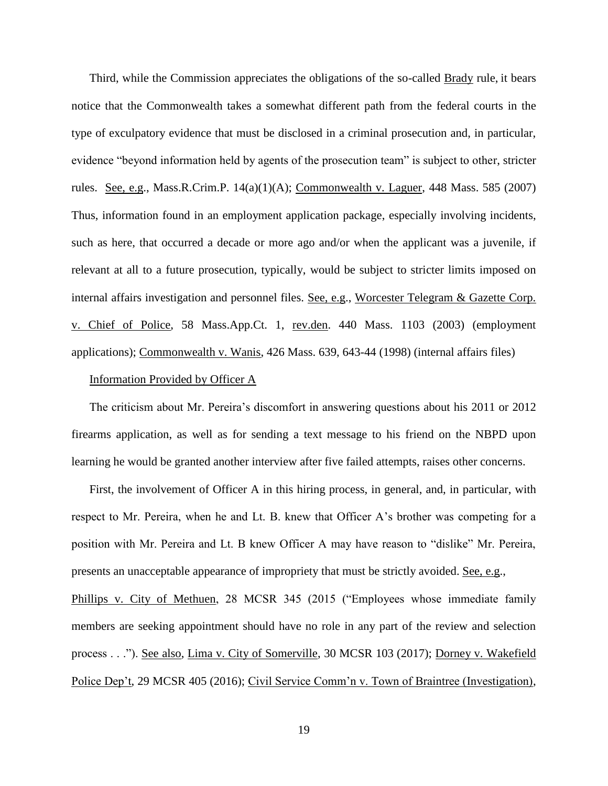Third, while the Commission appreciates the obligations of the so-called Brady rule, it bears notice that the Commonwealth takes a somewhat different path from the federal courts in the type of exculpatory evidence that must be disclosed in a criminal prosecution and, in particular, evidence "beyond information held by agents of the prosecution team" is subject to other, stricter rules. See, e.g., Mass.R.Crim.P. 14(a)(1)(A); Commonwealth v. Laguer, 448 Mass. 585 (2007) Thus, information found in an employment application package, especially involving incidents, such as here, that occurred a decade or more ago and/or when the applicant was a juvenile, if relevant at all to a future prosecution, typically, would be subject to stricter limits imposed on internal affairs investigation and personnel files. See, e.g., Worcester Telegram & Gazette Corp. v. Chief of Police, 58 Mass.App.Ct. 1, rev.den. 440 Mass. 1103 (2003) (employment applications); Commonwealth v. Wanis, 426 Mass. 639, 643-44 (1998) (internal affairs files)

#### Information Provided by Officer A

The criticism about Mr. Pereira's discomfort in answering questions about his 2011 or 2012 firearms application, as well as for sending a text message to his friend on the NBPD upon learning he would be granted another interview after five failed attempts, raises other concerns.

First, the involvement of Officer A in this hiring process, in general, and, in particular, with respect to Mr. Pereira, when he and Lt. B. knew that Officer A's brother was competing for a position with Mr. Pereira and Lt. B knew Officer A may have reason to "dislike" Mr. Pereira, presents an unacceptable appearance of impropriety that must be strictly avoided. See, e.g., Phillips v. City of Methuen, 28 MCSR 345 (2015 ("Employees whose immediate family members are seeking appointment should have no role in any part of the review and selection process . . ."). See also, Lima v. City of Somerville, 30 MCSR 103 (2017); Dorney v. Wakefield

Police Dep't, 29 MCSR 405 (2016); Civil Service Comm'n v. Town of Braintree (Investigation),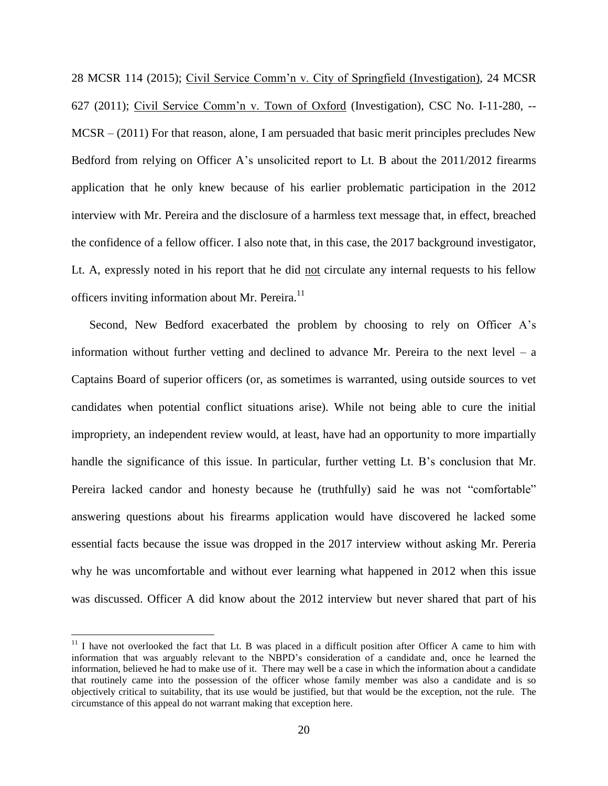28 MCSR 114 (2015); Civil Service Comm'n v. City of Springfield (Investigation), 24 MCSR 627 (2011); Civil Service Comm'n v. Town of Oxford (Investigation), CSC No. I-11-280, -- MCSR – (2011) For that reason, alone, I am persuaded that basic merit principles precludes New Bedford from relying on Officer A's unsolicited report to Lt. B about the 2011/2012 firearms application that he only knew because of his earlier problematic participation in the 2012 interview with Mr. Pereira and the disclosure of a harmless text message that, in effect, breached the confidence of a fellow officer. I also note that, in this case, the 2017 background investigator, Lt. A, expressly noted in his report that he did not circulate any internal requests to his fellow officers inviting information about Mr. Pereira.<sup>11</sup>

Second, New Bedford exacerbated the problem by choosing to rely on Officer A's information without further vetting and declined to advance Mr. Pereira to the next level  $-$  a Captains Board of superior officers (or, as sometimes is warranted, using outside sources to vet candidates when potential conflict situations arise). While not being able to cure the initial impropriety, an independent review would, at least, have had an opportunity to more impartially handle the significance of this issue. In particular, further vetting Lt. B's conclusion that Mr. Pereira lacked candor and honesty because he (truthfully) said he was not "comfortable" answering questions about his firearms application would have discovered he lacked some essential facts because the issue was dropped in the 2017 interview without asking Mr. Pereria why he was uncomfortable and without ever learning what happened in 2012 when this issue was discussed. Officer A did know about the 2012 interview but never shared that part of his

 $11$  I have not overlooked the fact that Lt. B was placed in a difficult position after Officer A came to him with information that was arguably relevant to the NBPD's consideration of a candidate and, once he learned the information, believed he had to make use of it. There may well be a case in which the information about a candidate that routinely came into the possession of the officer whose family member was also a candidate and is so objectively critical to suitability, that its use would be justified, but that would be the exception, not the rule. The circumstance of this appeal do not warrant making that exception here.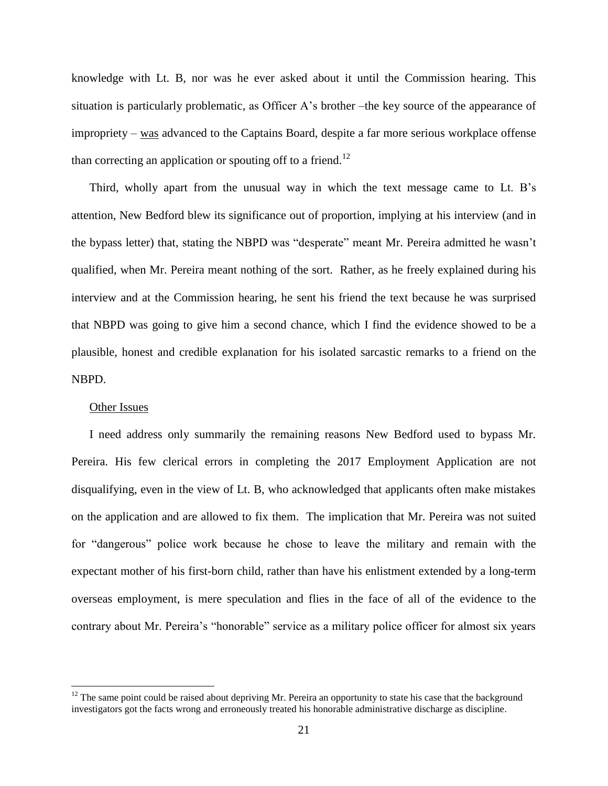knowledge with Lt. B, nor was he ever asked about it until the Commission hearing. This situation is particularly problematic, as Officer A's brother –the key source of the appearance of impropriety – was advanced to the Captains Board, despite a far more serious workplace offense than correcting an application or spouting off to a friend.<sup>12</sup>

Third, wholly apart from the unusual way in which the text message came to Lt. B's attention, New Bedford blew its significance out of proportion, implying at his interview (and in the bypass letter) that, stating the NBPD was "desperate" meant Mr. Pereira admitted he wasn't qualified, when Mr. Pereira meant nothing of the sort. Rather, as he freely explained during his interview and at the Commission hearing, he sent his friend the text because he was surprised that NBPD was going to give him a second chance, which I find the evidence showed to be a plausible, honest and credible explanation for his isolated sarcastic remarks to a friend on the NBPD.

## Other Issues

 $\overline{a}$ 

I need address only summarily the remaining reasons New Bedford used to bypass Mr. Pereira. His few clerical errors in completing the 2017 Employment Application are not disqualifying, even in the view of Lt. B, who acknowledged that applicants often make mistakes on the application and are allowed to fix them. The implication that Mr. Pereira was not suited for "dangerous" police work because he chose to leave the military and remain with the expectant mother of his first-born child, rather than have his enlistment extended by a long-term overseas employment, is mere speculation and flies in the face of all of the evidence to the contrary about Mr. Pereira's "honorable" service as a military police officer for almost six years

 $12$  The same point could be raised about depriving Mr. Pereira an opportunity to state his case that the background investigators got the facts wrong and erroneously treated his honorable administrative discharge as discipline.